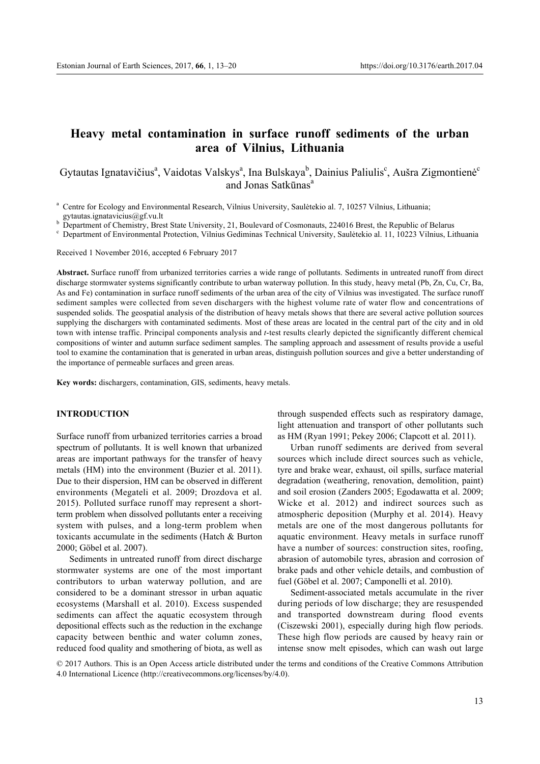# **Heavy metal contamination in surface runoff sediments of the urban area of Vilnius, Lithuania**

Gytautas Ignatavičius<sup>a</sup>, Vaidotas Valskys<sup>a</sup>, Ina Bulskaya<sup>b</sup>, Dainius Paliulis<sup>c</sup>, Aušra Zigmontienė<sup>c</sup> and Jonas Satkūnas<sup>a</sup>

<sup>a</sup> Centre for Ecology and Environmental Research, Vilnius University, Saulėtekio al. 7, 10257 Vilnius, Lithuania; gytautas.ignatavicius @gf.vu.lt

b Department of Chemistry, Brest State University, 21, Boulevard of Cosmonauts, 224016 Brest, the Republic of Belarus<br>
<sup>c</sup> Department of Environmental Protection, Vilnius Gediminas Technical University, Sauletekio al. 11,

Received 1 November 2016, accepted 6 February 2017

**Abstract.** Surface runoff from urbanized territories carries a wide range of pollutants. Sediments in untreated runoff from direct discharge stormwater systems significantly contribute to urban waterway pollution. In this study, heavy metal (Pb, Zn, Cu, Cr, Ba, As and Fe) contamination in surface runoff sediments of the urban area of the city of Vilnius was investigated. The surface runoff sediment samples were collected from seven dischargers with the highest volume rate of water flow and concentrations of suspended solids. The geospatial analysis of the distribution of heavy metals shows that there are several active pollution sources supplying the dischargers with contaminated sediments. Most of these areas are located in the central part of the city and in old town with intense traffic. Principal components analysis and *t*-test results clearly depicted the significantly different chemical compositions of winter and autumn surface sediment samples. The sampling approach and assessment of results provide a useful tool to examine the contamination that is generated in urban areas, distinguish pollution sources and give a better understanding of the importance of permeable surfaces and green areas.

**Key words:** dischargers, contamination, GIS, sediments, heavy metals.

# **INTRODUCTION**

Surface runoff from urbanized territories carries a broad spectrum of pollutants. It is well known that urbanized areas are important pathways for the transfer of heavy metals (HM) into the environment (Buzier et al. 2011). Due to their dispersion, HM can be observed in different environments (Megateli et al. 2009; Drozdova et al. 2015). Polluted surface runoff may represent a shortterm problem when dissolved pollutants enter a receiving system with pulses, and a long-term problem when toxicants accumulate in the sediments (Hatch & Burton 2000; Göbel et al. 2007).

Sediments in untreated runoff from direct discharge stormwater systems are one of the most important contributors to urban waterway pollution, and are considered to be a dominant stressor in urban aquatic ecosystems (Marshall et al. 2010). Excess suspended sediments can affect the aquatic ecosystem through depositional effects such as the reduction in the exchange capacity between benthic and water column zones, reduced food quality and smothering of biota, as well as

through suspended effects such as respiratory damage, light attenuation and transport of other pollutants such as HM (Ryan 1991; Pekey 2006; Clapcott et al. 2011).

Urban runoff sediments are derived from several sources which include direct sources such as vehicle, tyre and brake wear, exhaust, oil spills, surface material degradation (weathering, renovation, demolition, paint) and soil erosion (Zanders 2005; Egodawatta et al. 2009; Wicke et al. 2012) and indirect sources such as atmospheric deposition (Murphy et al. 2014). Heavy metals are one of the most dangerous pollutants for aquatic environment. Heavy metals in surface runoff have a number of sources: construction sites, roofing, abrasion of automobile tyres, abrasion and corrosion of brake pads and other vehicle details, and combustion of fuel (Göbel et al. 2007; Camponelli et al. 2010).

Sediment-associated metals accumulate in the river during periods of low discharge; they are resuspended and transported downstream during flood events (Ciszewski 2001), especially during high flow periods. These high flow periods are caused by heavy rain or intense snow melt episodes, which can wash out large

© 2017 Authors. This is an Open Access article distributed under the terms and conditions of the Creative Commons Attribution 4.0 International Licence (http://creativecommons.org/licenses/by/4.0).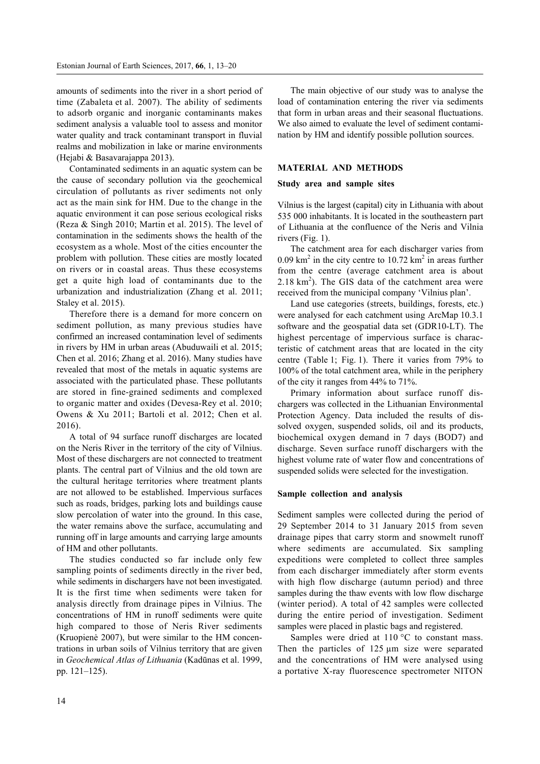amounts of sediments into the river in a short period of time (Zabaleta et al. 2007). The ability of sediments to adsorb organic and inorganic contaminants makes sediment analysis a valuable tool to assess and monitor water quality and track contaminant transport in fluvial realms and mobilization in lake or marine environments (Hejabi & Basavarajappa 2013).

Contaminated sediments in an aquatic system can be the cause of secondary pollution via the geochemical circulation of pollutants as river sediments not only act as the main sink for HM. Due to the change in the aquatic environment it can pose serious ecological risks (Reza & Singh 2010; Martin et al. 2015). The level of contamination in the sediments shows the health of the ecosystem as a whole. Most of the cities encounter the problem with pollution. These cities are mostly located on rivers or in coastal areas. Thus these ecosystems get a quite high load of contaminants due to the urbanization and industrialization (Zhang et al. 2011; Staley et al. 2015).

Therefore there is a demand for more concern on sediment pollution, as many previous studies have confirmed an increased contamination level of sediments in rivers by HM in urban areas (Abuduwaili et al. 2015; Chen et al. 2016; Zhang et al. 2016). Many studies have revealed that most of the metals in aquatic systems are associated with the particulated phase. These pollutants are stored in fine-grained sediments and complexed to organic matter and oxides (Devesa-Rey et al. 2010; Owens & Xu 2011; Bartoli et al. 2012; Chen et al. 2016).

A total of 94 surface runoff discharges are located on the Neris River in the territory of the city of Vilnius. Most of these dischargers are not connected to treatment plants. The central part of Vilnius and the old town are the cultural heritage territories where treatment plants are not allowed to be established. Impervious surfaces such as roads, bridges, parking lots and buildings cause slow percolation of water into the ground. In this case, the water remains above the surface, accumulating and running off in large amounts and carrying large amounts of HM and other pollutants.

The studies conducted so far include only few sampling points of sediments directly in the river bed, while sediments in dischargers have not been investigated. It is the first time when sediments were taken for analysis directly from drainage pipes in Vilnius. The concentrations of HM in runoff sediments were quite high compared to those of Neris River sediments (Kruopienė 2007), but were similar to the HM concentrations in urban soils of Vilnius territory that are given in *Geochemical Atlas of Lithuania* (Kadūnas et al. 1999, pp. 121–125).

The main objective of our study was to analyse the load of contamination entering the river via sediments that form in urban areas and their seasonal fluctuations. We also aimed to evaluate the level of sediment contamination by HM and identify possible pollution sources.

## **MATERIAL AND METHODS**

## **Study area and sample sites**

Vilnius is the largest (capital) city in Lithuania with about 535 000 inhabitants. It is located in the southeastern part of Lithuania at the confluence of the Neris and Vilnia rivers (Fig. 1).

The catchment area for each discharger varies from  $0.09 \text{ km}^2$  in the city centre to  $10.72 \text{ km}^2$  in areas further from the centre (average catchment area is about  $2.18 \text{ km}^2$ ). The GIS data of the catchment area were received from the municipal company 'Vilnius plan'.

Land use categories (streets, buildings, forests, etc.) were analysed for each catchment using ArcMap 10.3.1 software and the geospatial data set (GDR10-LT). The highest percentage of impervious surface is characteristic of catchment areas that are located in the city centre (Table 1; Fig. 1). There it varies from 79% to 100% of the total catchment area, while in the periphery of the city it ranges from 44% to 71%.

Primary information about surface runoff dischargers was collected in the Lithuanian Environmental Protection Agency. Data included the results of dissolved oxygen, suspended solids, oil and its products, biochemical oxygen demand in 7 days (BOD7) and discharge. Seven surface runoff dischargers with the highest volume rate of water flow and concentrations of suspended solids were selected for the investigation.

#### **Sample collection and analysis**

Sediment samples were collected during the period of 29 September 2014 to 31 January 2015 from seven drainage pipes that carry storm and snowmelt runoff where sediments are accumulated. Six sampling expeditions were completed to collect three samples from each discharger immediately after storm events with high flow discharge (autumn period) and three samples during the thaw events with low flow discharge (winter period). A total of 42 samples were collected during the entire period of investigation. Sediment samples were placed in plastic bags and registered.

Samples were dried at 110 °C to constant mass. Then the particles of  $125 \mu m$  size were separated and the concentrations of HM were analysed using a portative X-ray fluorescence spectrometer NITON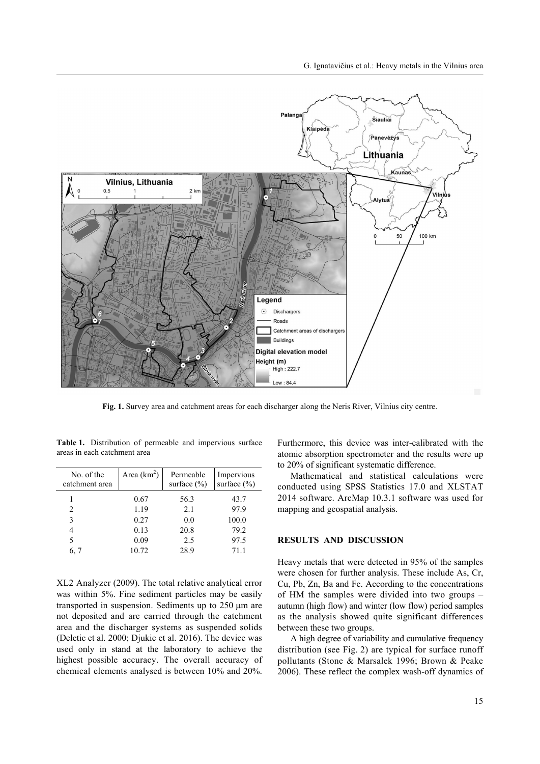

**Fig. 1.** Survey area and catchment areas for each discharger along the Neris River, Vilnius city centre.

**Table 1.** Distribution of permeable and impervious surface areas in each catchment area

| No. of the<br>catchment area | Area $(km^2)$ | Permeable<br>surface $(\% )$ | Impervious<br>surface $(\% )$ |
|------------------------------|---------------|------------------------------|-------------------------------|
|                              | 0.67          | 56.3                         | 43.7                          |
| 2                            | 1.19          | 2.1                          | 97.9                          |
| 3                            | 0.27          | 0.0                          | 100.0                         |
|                              | 0.13          | 20.8                         | 79.2                          |
| 5                            | 0.09          | 2.5                          | 97.5                          |
| 6, 7                         | 10.72         | 28.9                         | 71.1                          |

XL2 Analyzer (2009). The total relative analytical error was within 5%. Fine sediment particles may be easily transported in suspension. Sediments up to 250 µm are not deposited and are carried through the catchment area and the discharger systems as suspended solids (Deletic et al. 2000; Djukic et al. 2016). The device was used only in stand at the laboratory to achieve the highest possible accuracy. The overall accuracy of chemical elements analysed is between 10% and 20%.

Furthermore, this device was inter-calibrated with the atomic absorption spectrometer and the results were up to 20% of significant systematic difference.

Mathematical and statistical calculations were conducted using SPSS Statistics 17.0 and XLSTAT 2014 software. ArcMap 10.3.1 software was used for mapping and geospatial analysis.

# **RESULTS AND DISCUSSION**

Heavy metals that were detected in 95% of the samples were chosen for further analysis. These include As, Cr, Cu, Pb, Zn, Ba and Fe. According to the concentrations of HM the samples were divided into two groups – autumn (high flow) and winter (low flow) period samples as the analysis showed quite significant differences between these two groups.

A high degree of variability and cumulative frequency distribution (see Fig. 2) are typical for surface runoff pollutants (Stone & Marsalek 1996; Brown & Peake 2006). These reflect the complex wash-off dynamics of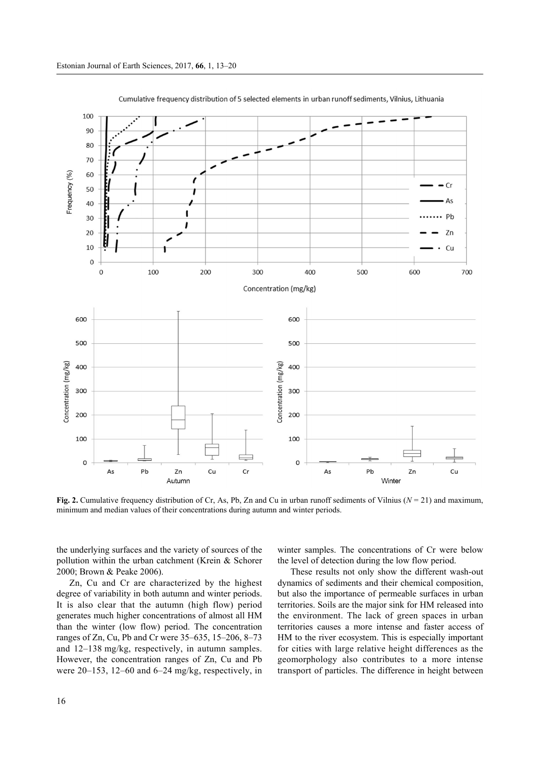

Cumulative frequency distribution of 5 selected elements in urban runoff sediments, Vilnius, Lithuania

**Fig. 2.** Cumulative frequency distribution of Cr, As, Pb, Zn and Cu in urban runoff sediments of Vilnius (*N* = 21) and maximum, minimum and median values of their concentrations during autumn and winter periods.

the underlying surfaces and the variety of sources of the pollution within the urban catchment (Krein & Schorer 2000; Brown & Peake 2006).

Zn, Cu and Cr are characterized by the highest degree of variability in both autumn and winter periods. It is also clear that the autumn (high flow) period generates much higher concentrations of almost all HM than the winter (low flow) period. The concentration ranges of Zn, Cu, Pb and Cr were 35–635, 15–206, 8–73 and 12–138 mg/kg, respectively, in autumn samples. However, the concentration ranges of Zn, Cu and Pb were 20–153, 12–60 and 6–24 mg/kg, respectively, in winter samples. The concentrations of Cr were below the level of detection during the low flow period.

These results not only show the different wash-out dynamics of sediments and their chemical composition, but also the importance of permeable surfaces in urban territories. Soils are the major sink for HM released into the environment. The lack of green spaces in urban territories causes a more intense and faster access of HM to the river ecosystem. This is especially important for cities with large relative height differences as the geomorphology also contributes to a more intense transport of particles. The difference in height between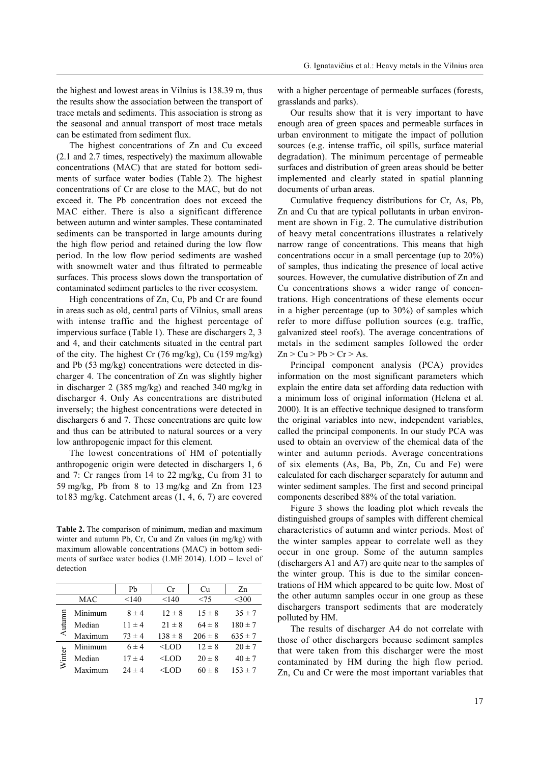the highest and lowest areas in Vilnius is 138.39 m, thus the results show the association between the transport of trace metals and sediments. This association is strong as the seasonal and annual transport of most trace metals can be estimated from sediment flux.

The highest concentrations of Zn and Cu exceed (2.1 and 2.7 times, respectively) the maximum allowable concentrations (MAC) that are stated for bottom sediments of surface water bodies (Table 2). The highest concentrations of Cr are close to the MAC, but do not exceed it. The Pb concentration does not exceed the MAC either. There is also a significant difference between autumn and winter samples. These contaminated sediments can be transported in large amounts during the high flow period and retained during the low flow period. In the low flow period sediments are washed with snowmelt water and thus filtrated to permeable surfaces. This process slows down the transportation of contaminated sediment particles to the river ecosystem.

High concentrations of Zn, Cu, Pb and Cr are found in areas such as old, central parts of Vilnius, small areas with intense traffic and the highest percentage of impervious surface (Table 1). These are dischargers 2, 3 and 4, and their catchments situated in the central part of the city. The highest Cr (76 mg/kg), Cu (159 mg/kg) and Pb (53 mg/kg) concentrations were detected in discharger 4. The concentration of Zn was slightly higher in discharger 2 (385 mg/kg) and reached 340 mg/kg in discharger 4. Only As concentrations are distributed inversely; the highest concentrations were detected in dischargers 6 and 7. These concentrations are quite low and thus can be attributed to natural sources or a very low anthropogenic impact for this element.

The lowest concentrations of HM of potentially anthropogenic origin were detected in dischargers 1, 6 and 7: Cr ranges from 14 to 22 mg/kg, Cu from 31 to 59 mg/kg, Pb from 8 to 13 mg/kg and Zn from 123 to183 mg/kg. Catchment areas (1, 4, 6, 7) are covered

**Table 2.** The comparison of minimum, median and maximum winter and autumn Pb, Cr, Cu and Zn values (in mg/kg) with maximum allowable concentrations (MAC) in bottom sediments of surface water bodies (LME 2014). LOD – level of detection

|        |         | Pb         | Сr                                                                               | Cu          | Zn          |
|--------|---------|------------|----------------------------------------------------------------------------------|-------------|-------------|
|        | MAC     | < 140      | < 140                                                                            | < 75        | $300$       |
| Autum  | Minimum | $8 \pm 4$  | $12 \pm 8$                                                                       | $15 \pm 8$  | $35 \pm 7$  |
|        | Median  | $11 \pm 4$ | $21 \pm 8$                                                                       | $64 \pm 8$  | $180 \pm 7$ |
|        | Maximum | $73 \pm 4$ | $138 \pm 8$                                                                      | $206 \pm 8$ | $635 \pm 7$ |
| Winter | Minimum | $6 \pm 4$  | $<$ LOD                                                                          | $12 \pm 8$  | $20 \pm 7$  |
|        | Median  | $17 \pm 4$ | $<$ LOD                                                                          | $20 \pm 8$  | $40 \pm 7$  |
|        | Maximum | $24 \pm 4$ | <lod< td=""><td><math>60 \pm 8</math></td><td><math>153 \pm 7</math></td></lod<> | $60 \pm 8$  | $153 \pm 7$ |

with a higher percentage of permeable surfaces (forests, grasslands and parks).

Our results show that it is very important to have enough area of green spaces and permeable surfaces in urban environment to mitigate the impact of pollution sources (e.g. intense traffic, oil spills, surface material degradation). The minimum percentage of permeable surfaces and distribution of green areas should be better implemented and clearly stated in spatial planning documents of urban areas.

Cumulative frequency distributions for Cr, As, Pb, Zn and Cu that are typical pollutants in urban environment are shown in Fig. 2. The cumulative distribution of heavy metal concentrations illustrates a relatively narrow range of concentrations. This means that high concentrations occur in a small percentage (up to 20%) of samples, thus indicating the presence of local active sources. However, the cumulative distribution of Zn and Cu concentrations shows a wider range of concentrations. High concentrations of these elements occur in a higher percentage (up to 30%) of samples which refer to more diffuse pollution sources (e.g. traffic, galvanized steel roofs). The average concentrations of metals in the sediment samples followed the order  $Zn > Cu > Pb > Cr > As.$ 

Principal component analysis (PCA) provides information on the most significant parameters which explain the entire data set affording data reduction with a minimum loss of original information (Helena et al. 2000). It is an effective technique designed to transform the original variables into new, independent variables, called the principal components. In our study PCA was used to obtain an overview of the chemical data of the winter and autumn periods. Average concentrations of six elements (As, Ba, Pb, Zn, Cu and Fe) were calculated for each discharger separately for autumn and winter sediment samples. The first and second principal components described 88% of the total variation.

Figure 3 shows the loading plot which reveals the distinguished groups of samples with different chemical characteristics of autumn and winter periods. Most of the winter samples appear to correlate well as they occur in one group. Some of the autumn samples (dischargers A1 and A7) are quite near to the samples of the winter group. This is due to the similar concentrations of HM which appeared to be quite low. Most of the other autumn samples occur in one group as these dischargers transport sediments that are moderately polluted by HM.

The results of discharger A4 do not correlate with those of other dischargers because sediment samples that were taken from this discharger were the most contaminated by HM during the high flow period. Zn, Cu and Cr were the most important variables that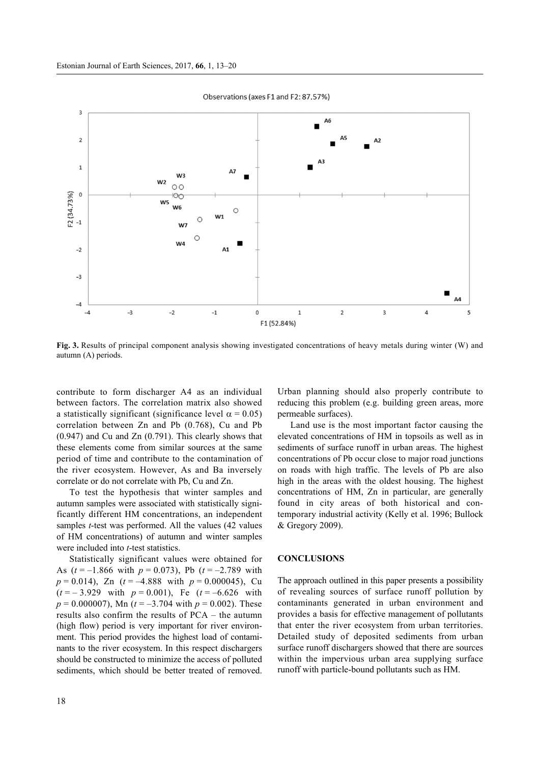

Observations (axes F1 and F2: 87.57%)

**Fig. 3.** Results of principal component analysis showing investigated concentrations of heavy metals during winter (W) and autumn (A) periods.

contribute to form discharger A4 as an individual between factors. The correlation matrix also showed a statistically significant (significance level  $\alpha = 0.05$ ) correlation between Zn and Pb (0.768), Cu and Pb (0.947) and Cu and Zn (0.791). This clearly shows that these elements come from similar sources at the same period of time and contribute to the contamination of the river ecosystem. However, As and Ba inversely correlate or do not correlate with Pb, Cu and Zn.

To test the hypothesis that winter samples and autumn samples were associated with statistically significantly different HM concentrations, an independent samples *t*-test was performed. All the values (42 values of HM concentrations) of autumn and winter samples were included into *t*-test statistics.

Statistically significant values were obtained for As  $(t = -1.866$  with  $p = 0.073$ , Pb  $(t = -2.789$  with  $p = 0.014$ , Zn ( $t = -4.888$  with  $p = 0.000045$ ), Cu  $(t = -3.929 \text{ with } p = 0.001)$ , Fe  $(t = -6.626 \text{ with }$  $p = 0.000007$ , Mn ( $t = -3.704$  with  $p = 0.002$ ). These results also confirm the results of PCA – the autumn (high flow) period is very important for river environment. This period provides the highest load of contaminants to the river ecosystem. In this respect dischargers should be constructed to minimize the access of polluted sediments, which should be better treated of removed.

Urban planning should also properly contribute to reducing this problem (e.g. building green areas, more permeable surfaces).

Land use is the most important factor causing the elevated concentrations of HM in topsoils as well as in sediments of surface runoff in urban areas. The highest concentrations of Pb occur close to major road junctions on roads with high traffic. The levels of Pb are also high in the areas with the oldest housing. The highest concentrations of HM, Zn in particular, are generally found in city areas of both historical and contemporary industrial activity (Kelly et al. 1996; Bullock & Gregory 2009).

#### **CONCLUSIONS**

The approach outlined in this paper presents a possibility of revealing sources of surface runoff pollution by contaminants generated in urban environment and provides a basis for effective management of pollutants that enter the river ecosystem from urban territories. Detailed study of deposited sediments from urban surface runoff dischargers showed that there are sources within the impervious urban area supplying surface runoff with particle-bound pollutants such as HM.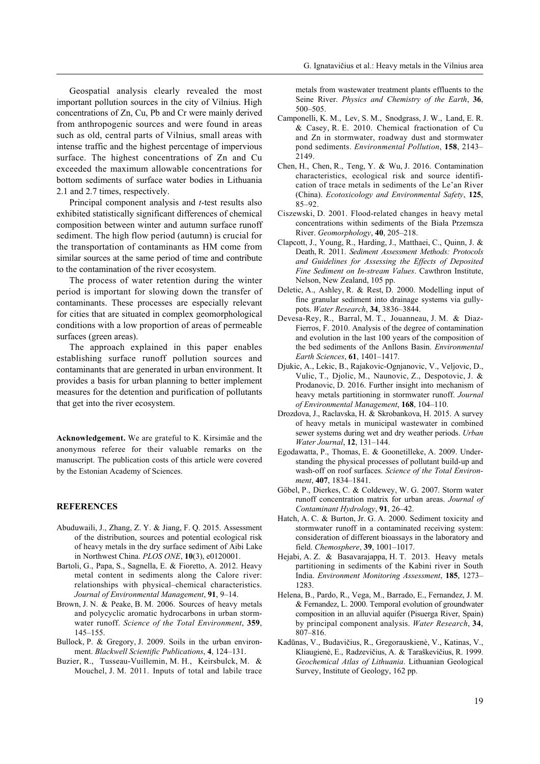Geospatial analysis clearly revealed the most important pollution sources in the city of Vilnius. High concentrations of Zn, Cu, Pb and Cr were mainly derived from anthropogenic sources and were found in areas such as old, central parts of Vilnius, small areas with intense traffic and the highest percentage of impervious surface. The highest concentrations of Zn and Cu exceeded the maximum allowable concentrations for bottom sediments of surface water bodies in Lithuania 2.1 and 2.7 times, respectively.

Principal component analysis and *t*-test results also exhibited statistically significant differences of chemical composition between winter and autumn surface runoff sediment. The high flow period (autumn) is crucial for the transportation of contaminants as HM come from similar sources at the same period of time and contribute to the contamination of the river ecosystem.

The process of water retention during the winter period is important for slowing down the transfer of contaminants. These processes are especially relevant for cities that are situated in complex geomorphological conditions with a low proportion of areas of permeable surfaces (green areas).

The approach explained in this paper enables establishing surface runoff pollution sources and contaminants that are generated in urban environment. It provides a basis for urban planning to better implement measures for the detention and purification of pollutants that get into the river ecosystem.

**Acknowledgement.** We are grateful to K. Kirsimäe and the anonymous referee for their valuable remarks on the manuscript. The publication costs of this article were covered by the Estonian Academy of Sciences.

## **REFERENCES**

- Abuduwaili, J., Zhang, Z. Y. & Jiang, F. Q. 2015. Assessment of the distribution, sources and potential ecological risk of heavy metals in the dry surface sediment of Aibi Lake in Northwest China. *PLOS ONE*, **10**(3), e0120001.
- Bartoli, G., Papa, S., Sagnella, E. & Fioretto, A. 2012. Heavy metal content in sediments along the Calore river: relationships with physical–chemical characteristics. *Journal of Environmental Management*, **91**, 9–14.
- Brown, J. N. & Peake, B. M. 2006. Sources of heavy metals and polycyclic aromatic hydrocarbons in urban stormwater runoff. *Science of the Total Environment*, **359**, 145–155.
- Bullock, P. & Gregory, J. 2009. Soils in the urban environment. *Blackwell Scientific Publications*, **4**, 124–131.
- Buzier, R., Tusseau-Vuillemin, M. H., Keirsbulck, M. & Mouchel, J. M. 2011. Inputs of total and labile trace

metals from wastewater treatment plants effluents to the Seine River. *Physics and Chemistry of the Earth*, **36**, 500–505.

- Camponelli, K. M., Lev, S. M., Snodgrass, J. W., Land, E. R. & Casey, R. E. 2010. Chemical fractionation of Cu and Zn in stormwater, roadway dust and stormwater pond sediments. *Environmental Pollution*, **158**, 2143– 2149.
- Chen, H., Chen, R., Teng, Y. & Wu, J. 2016. Contamination characteristics, ecological risk and source identification of trace metals in sediments of the Le'an River (China). *Ecotoxicology and Environmental Safety*, **125**, 85–92.
- Ciszewski, D. 2001. Flood-related changes in heavy metal concentrations within sediments of the Biała Przemsza River. *Geomorphology*, **40**, 205–218.
- Clapcott, J., Young, R., Harding, J., Matthaei, C., Quinn, J. & Death, R. 2011. *Sediment Assessment Methods: Protocols and Guidelines for Assessing the Effects of Deposited Fine Sediment on In-stream Values*. Cawthron Institute, Nelson, New Zealand, 105 pp.
- Deletic, A., Ashley, R. & Rest, D. 2000. Modelling input of fine granular sediment into drainage systems via gullypots. *Water Research*, **34**, 3836–3844.
- Devesa-Rey, R., Barral, M. T., Jouanneau, J. M. & Diaz-Fierros, F. 2010. Analysis of the degree of contamination and evolution in the last 100 years of the composition of the bed sediments of the Anllons Basin. *Environmental Earth Sciences*, **61**, 1401–1417.
- Djukic, A., Lekic, B., Rajakovic-Ognjanovic, V., Veljovic, D., Vulic, T., Djolic, M., Naunovic, Z., Despotovic, J. & Prodanovic, D. 2016. Further insight into mechanism of heavy metals partitioning in stormwater runoff. *Journal of Environmental Management*, **168**, 104–110.
- Drozdova, J., Raclavska, H. & Skrobankova, H. 2015. A survey of heavy metals in municipal wastewater in combined sewer systems during wet and dry weather periods. *Urban Water Journal*, **12**, 131–144.
- Egodawatta, P., Thomas, E. & Goonetilleke, A. 2009. Understanding the physical processes of pollutant build-up and wash-off on roof surfaces. *Science of the Total Environment*, **407**, 1834–1841.
- Göbel, P., Dierkes, C. & Coldewey, W. G. 2007. Storm water runoff concentration matrix for urban areas. *Journal of Contaminant Hydrology*, **91**, 26–42.
- Hatch, A. C. & Burton, Jr. G. A. 2000. Sediment toxicity and stormwater runoff in a contaminated receiving system: consideration of different bioassays in the laboratory and field. *Chemosphere*, **39**, 1001–1017.
- Hejabi, A. Z. & Basavarajappa, H. T. 2013. Heavy metals partitioning in sediments of the Kabini river in South India. *Environment Monitoring Assessment*, **185**, 1273– 1283.
- Helena, B., Pardo, R., Vega, M., Barrado, E., Fernandez, J. M. & Fernandez, L. 2000. Temporal evolution of groundwater composition in an alluvial aquifer (Pisuerga River, Spain) by principal component analysis. *Water Research*, **34**, 807–816.
- Kadūnas, V., Budavičius, R., Gregorauskienė, V., Katinas, V., Kliaugienė, E., Radzevičius, A. & Taraškevičius, R. 1999. *Geochemical Atlas of Lithuania*. Lithuanian Geological Survey, Institute of Geology, 162 pp.